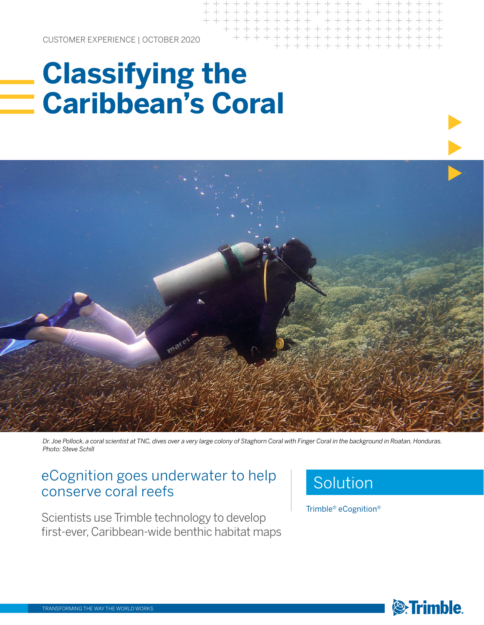CUSTOMER EXPERIENCE | OCTOBER 2020

## **Classifying the Caribbean's Coral**



*Dr. Joe Pollock, a coral scientist at TNC, dives over a very large colony of Staghorn Coral with Finger Coral in the background in Roatan, Honduras. Photo: Steve Schill*

### eCognition goes underwater to help conserve coral reefs

Scientists use Trimble technology to develop first-ever, Caribbean-wide benthic habitat maps

### Solution

Trimble® eCognition®

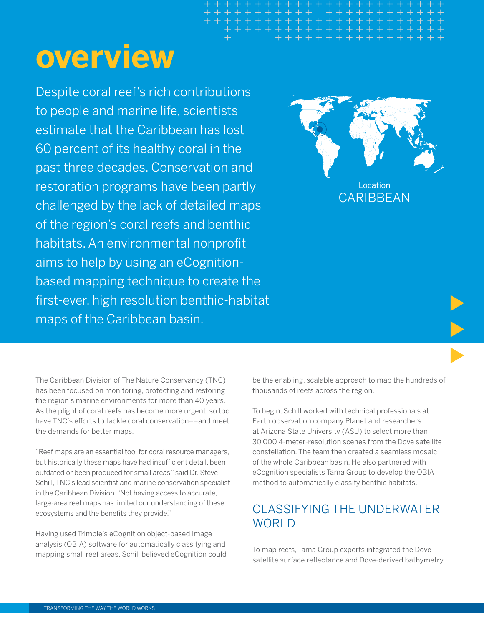# **overview**

Despite coral reef's rich contributions to people and marine life, scientists estimate that the Caribbean has lost 60 percent of its healthy coral in the past three decades. Conservation and restoration programs have been partly challenged by the lack of detailed maps of the region's coral reefs and benthic habitats. An environmental nonprofit aims to help by using an eCognitionbased mapping technique to create the first-ever, high resolution benthic-habitat maps of the Caribbean basin.



Location **CARIBBEAN** 

The Caribbean Division of The Nature Conservancy (TNC) has been focused on monitoring, protecting and restoring the region's marine environments for more than 40 years. As the plight of coral reefs has become more urgent, so too have TNC's efforts to tackle coral conservation––and meet the demands for better maps.

"Reef maps are an essential tool for coral resource managers, but historically these maps have had insufficient detail, been outdated or been produced for small areas," said Dr. Steve Schill, TNC's lead scientist and marine conservation specialist in the Caribbean Division. "Not having access to accurate, large-area reef maps has limited our understanding of these ecosystems and the benefits they provide."

Having used Trimble's eCognition object-based image analysis (OBIA) software for automatically classifying and mapping small reef areas, Schill believed eCognition could be the enabling, scalable approach to map the hundreds of thousands of reefs across the region.

To begin, Schill worked with technical professionals at Earth observation company Planet and researchers at Arizona State University (ASU) to select more than 30,000 4-meter-resolution scenes from the Dove satellite constellation. The team then created a seamless mosaic of the whole Caribbean basin. He also partnered with eCognition specialists Tama Group to develop the OBIA method to automatically classify benthic habitats.

#### CLASSIFYING THE UNDERWATER **WORLD**

To map reefs, Tama Group experts integrated the Dove satellite surface reflectance and Dove-derived bathymetry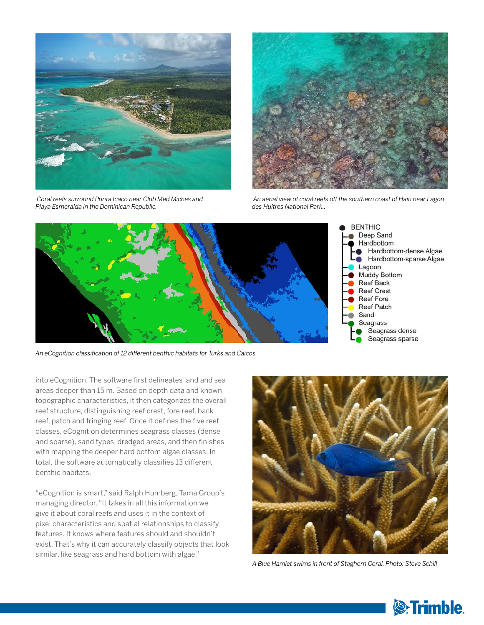

 *Coral reefs surround Punta Icaco near Club Med Miches and Playa Esmeralda in the Dominican Republic.*



 *An aerial view of coral reefs off the southern coast of Haiti near Lagon des Huîtres National Park..*



*An eCognition classification of 12 different benthic habitats for Turks and Caicos.*

into eCognition. The software first delineates land and sea areas deeper than 15 m. Based on depth data and known topographic characteristics, it then categorizes the overall reef structure, distinguishing reef crest, fore reef, back reef, patch and fringing reef. Once it defines the five reef classes, eCognition determines seagrass classes (dense and sparse), sand types, dredged areas, and then finishes with mapping the deeper hard bottom algae classes. In total, the software automatically classifies 13 different benthic habitats.

"eCognition is smart," said Ralph Humberg, Tama Group's managing director. "It takes in all this information we give it about coral reefs and uses it in the context of pixel characteristics and spatial relationships to classify features. It knows where features should and shouldn't exist. That's why it can accurately classify objects that look similar, like seagrass and hard bottom with algae."



*A Blue Hamlet swims in front of Staghorn Coral. Photo: Steve Schill*